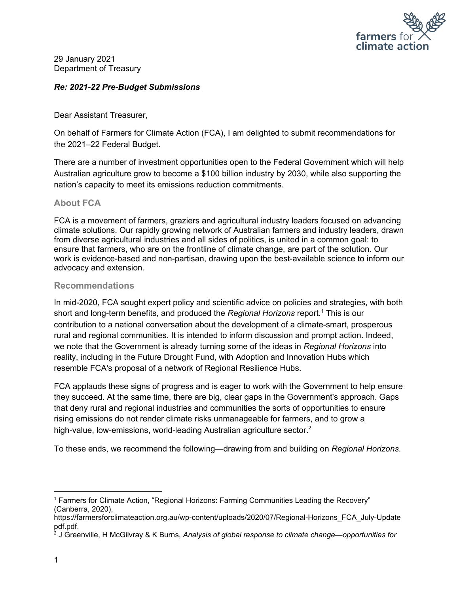

29 January 2021 Department of Treasury

### *Re: 2021-22 Pre-Budget Submissions*

Dear Assistant Treasurer,

On behalf of Farmers for Climate Action (FCA), I am delighted to submit recommendations for the 2021–22 Federal Budget.

There are a number of investment opportunities open to the Federal Government which will help Australian agriculture grow to become a \$100 billion industry by 2030, while also supporting the nation's capacity to meet its emissions reduction commitments.

### **About FCA**

FCA is a movement of farmers, graziers and agricultural industry leaders focused on advancing climate solutions. Our rapidly growing network of Australian farmers and industry leaders, drawn from diverse agricultural industries and all sides of politics, is united in a common goal: to ensure that farmers, who are on the frontline of climate change, are part of the solution. Our work is evidence-based and non-partisan, drawing upon the best-available science to inform our advocacy and extension.

### **Recommendations**

In mid-2020, FCA sought expert policy and scientific advice on policies and strategies, with both short and long-term benefits, and produced the *Regional Horizons* report*.* <sup>1</sup> This is our contribution to a national conversation about the development of a climate-smart, prosperous rural and regional communities. It is intended to inform discussion and prompt action. Indeed, we note that the Government is already turning some of the ideas in *Regional Horizons* into reality, including in the Future Drought Fund, with Adoption and Innovation Hubs which resemble FCA's proposal of a network of Regional Resilience Hubs.

FCA applauds these signs of progress and is eager to work with the Government to help ensure they succeed. At the same time, there are big, clear gaps in the Government's approach. Gaps that deny rural and regional industries and communities the sorts of opportunities to ensure rising emissions do not render climate risks unmanageable for farmers, and to grow a high-value, low-emissions, world-leading Australian agriculture sector.<sup>2</sup>

To these ends, we recommend the following—drawing from and building on *Regional Horizons*.

<sup>1</sup> Farmers for Climate Action, "Regional Horizons: Farming [Communities](https://www.zotero.org/google-docs/?OZYaEc) Leading the Recovery" [\(Canberra,](https://www.zotero.org/google-docs/?OZYaEc) 2020),

[https://farmersforclimateaction.org.au/wp-content/uploads/2020/07/Regional-Horizons\\_FCA\\_July-Update](https://www.zotero.org/google-docs/?OZYaEc) [pdf.pdf.](https://www.zotero.org/google-docs/?OZYaEc)

<sup>2</sup> J Greenville, H McGilvray & K Burns, *Analysis of global response to climate change—opportunities for*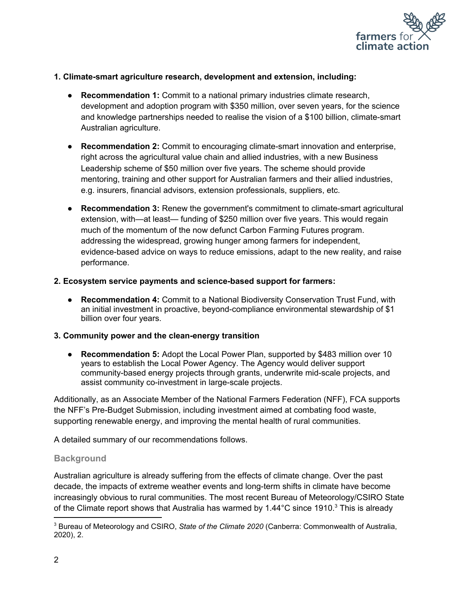

#### **1. Climate-smart agriculture research, development and extension, including:**

- **Recommendation 1:** Commit to a national primary industries climate research, development and adoption program with \$350 million, over seven years, for the science and knowledge partnerships needed to realise the vision of a \$100 billion, climate-smart Australian agriculture.
- **Recommendation 2:** Commit to encouraging climate-smart innovation and enterprise, right across the agricultural value chain and allied industries, with a new Business Leadership scheme of \$50 million over five years. The scheme should provide mentoring, training and other support for Australian farmers and their allied industries, e.g. insurers, financial advisors, extension professionals, suppliers, etc.
- **Recommendation 3:** Renew the government's commitment to climate-smart agricultural extension, with—at least— funding of \$250 million over five years. This would regain much of the momentum of the now defunct Carbon Farming Futures program. addressing the widespread, growing hunger among farmers for independent, evidence-based advice on ways to reduce emissions, adapt to the new reality, and raise performance.

#### **2. Ecosystem service payments and science-based support for farmers:**

● **Recommendation 4:** Commit to a National Biodiversity Conservation Trust Fund, with an initial investment in proactive, beyond-compliance environmental stewardship of \$1 billion over four years.

### **3. Community power and the clean-energy transition**

● **Recommendation 5:** Adopt the Local Power Plan, supported by \$483 million over 10 years to establish the Local Power Agency. The Agency would deliver support community-based energy projects through grants, underwrite mid-scale projects, and assist community co-investment in large-scale projects.

Additionally, as an Associate Member of the National Farmers Federation (NFF), FCA supports the NFF's Pre-Budget Submission, including investment aimed at combating food waste, supporting renewable energy, and improving the mental health of rural communities.

A detailed summary of our recommendations follows.

### **Background**

Australian agriculture is already suffering from the effects of climate change. Over the past decade, the impacts of extreme weather events and long-term shifts in climate have become increasingly obvious to rural communities. The most recent Bureau of Meteorology/CSIRO State of the Climate report shows that Australia has warmed by 1.44 $^{\circ}$ C since 1910.<sup>3</sup> This is already

<sup>3</sup> Bureau of Meteorology and CSIRO, *State of the Climate 2020* (Canberra: Commonwealth of Australia, 2020), 2.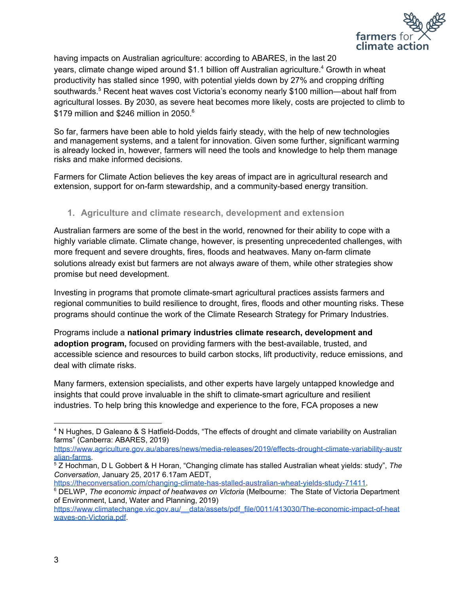

having impacts on Australian agriculture: according to ABARES, in the last 20 years, climate change wiped around \$1.1 billion off Australian agriculture. <sup>4</sup> Growth in wheat productivity has stalled since 1990, with potential yields down by 27% and cropping drifting southwards.<sup>5</sup> Recent heat waves cost Victoria's economy nearly \$100 million—about half from agricultural losses. By 2030, as severe heat becomes more likely, costs are projected to climb to \$179 million and \$246 million in 2050.<sup>6</sup>

So far, farmers have been able to hold yields fairly steady, with the help of new technologies and management systems, and a talent for innovation. Given some further, significant warming is already locked in, however, farmers will need the tools and knowledge to help them manage risks and make informed decisions.

Farmers for Climate Action believes the key areas of impact are in agricultural research and extension, support for on-farm stewardship, and a community-based energy transition.

# **1. Agriculture and climate research, development and extension**

Australian farmers are some of the best in the world, renowned for their ability to cope with a highly variable climate. Climate change, however, is presenting unprecedented challenges, with more frequent and severe droughts, fires, floods and heatwaves. Many on-farm climate solutions already exist but farmers are not always aware of them, while other strategies show promise but need development.

Investing in programs that promote climate-smart agricultural practices assists farmers and regional communities to build resilience to drought, fires, floods and other mounting risks. These programs should continue the work of the Climate Research Strategy for Primary Industries.

Programs include a **national primary industries climate research, development and adoption program,** focused on providing farmers with the best-available, trusted, and accessible science and resources to build carbon stocks, lift productivity, reduce emissions, and deal with climate risks.

Many farmers, extension specialists, and other experts have largely untapped knowledge and insights that could prove invaluable in the shift to climate-smart agriculture and resilient industries. To help bring this knowledge and experience to the fore, FCA proposes a new

<sup>4</sup> N Hughes, D Galeano & S Hatfield-Dodds, "The effects of drought and climate variability on Australian farms" (Canberra: ABARES, 2019)

[https://www.agriculture.gov.au/abares/news/media-releases/2019/effects-drought-climate-variability-austr](https://www.agriculture.gov.au/abares/news/media-releases/2019/effects-drought-climate-variability-australian-farms) [alian-farms.](https://www.agriculture.gov.au/abares/news/media-releases/2019/effects-drought-climate-variability-australian-farms)

<sup>5</sup> Z Hochman, D L Gobbert & H Horan, "Changing climate has stalled Australian wheat yields: study", *The Conversation*, January 25, 2017 6.17am AEDT,

<https://theconversation.com/changing-climate-has-stalled-australian-wheat-yields-study-71411>. <sup>6</sup> DELWP, *The economic impact of heatwaves on Victoria* (Melbourne: The State of Victoria Department of Environment, Land, Water and Planning, 2019)

[https://www.climatechange.vic.gov.au/\\_\\_data/assets/pdf\\_file/0011/413030/The-economic-impact-of-heat](https://www.climatechange.vic.gov.au/__data/assets/pdf_file/0011/413030/The-economic-impact-of-heatwaves-on-Victoria.pdf) [waves-on-Victoria.pdf](https://www.climatechange.vic.gov.au/__data/assets/pdf_file/0011/413030/The-economic-impact-of-heatwaves-on-Victoria.pdf).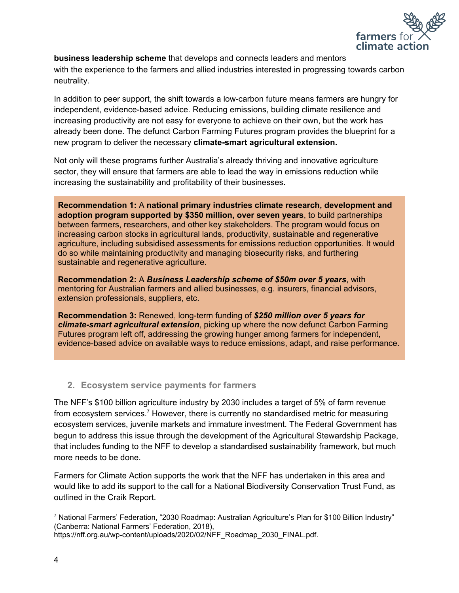

**business leadership scheme** that develops and connects leaders and mentors with the experience to the farmers and allied industries interested in progressing towards carbon neutrality.

In addition to peer support, the shift towards a low-carbon future means farmers are hungry for independent, evidence-based advice. Reducing emissions, building climate resilience and increasing productivity are not easy for everyone to achieve on their own, but the work has already been done. The defunct Carbon Farming Futures program provides the blueprint for a new program to deliver the necessary **climate-smart agricultural extension.**

Not only will these programs further Australia's already thriving and innovative agriculture sector, they will ensure that farmers are able to lead the way in emissions reduction while increasing the sustainability and profitability of their businesses.

**Recommendation 1:** A **national primary industries climate research, development and adoption program supported by \$350 million, over seven years**, to build partnerships between farmers, researchers, and other key stakeholders. The program would focus on increasing carbon stocks in agricultural lands, productivity, sustainable and regenerative agriculture, including subsidised assessments for emissions reduction opportunities. It would do so while maintaining productivity and managing biosecurity risks, and furthering sustainable and regenerative agriculture.

**Recommendation 2:** A *Business Leadership scheme of \$50m over 5 years*, with mentoring for Australian farmers and allied businesses, e.g. insurers, financial advisors, extension professionals, suppliers, etc.

**Recommendation 3:** Renewed, long-term funding of *\$250 million over 5 years for climate-smart agricultural extension*, picking up where the now defunct Carbon Farming Futures program left off, addressing the growing hunger among farmers for independent, evidence-based advice on available ways to reduce emissions, adapt, and raise performance.

## **2. Ecosystem service payments for farmers**

The NFF's \$100 billion agriculture industry by 2030 includes a target of 5% of farm revenue from ecosystem services.<sup>7</sup> However, there is currently no standardised metric for measuring ecosystem services, juvenile markets and immature investment. The Federal Government has begun to address this issue through the development of the Agricultural Stewardship Package, that includes funding to the NFF to develop a standardised sustainability framework, but much more needs to be done.

Farmers for Climate Action supports the work that the NFF has undertaken in this area and would like to add its support to the call for a National Biodiversity Conservation Trust Fund, as outlined in the Craik Report.

<sup>7</sup> National Farmers' Federation, "2030 Roadmap: Australian [Agriculture's](https://www.zotero.org/google-docs/?BYFXvy) Plan for \$100 Billion Industry" (Canberra: National Farmers' [Federation,](https://www.zotero.org/google-docs/?BYFXvy) 2018),

[https://nff.org.au/wp-content/uploads/2020/02/NFF\\_Roadmap\\_2030\\_FINAL.pdf.](https://www.zotero.org/google-docs/?BYFXvy)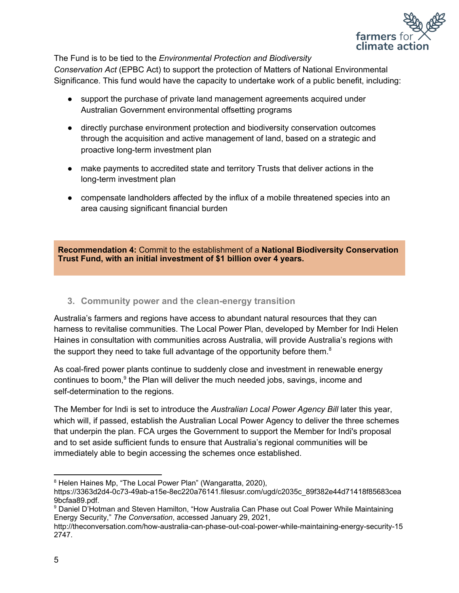

The Fund is to be tied to the *Environmental Protection and Biodiversity*

*Conservation Act* (EPBC Act) to support the protection of Matters of National Environmental Significance. This fund would have the capacity to undertake work of a public benefit, including:

- support the purchase of private land management agreements acquired under Australian Government environmental offsetting programs
- directly purchase environment protection and biodiversity conservation outcomes through the acquisition and active management of land, based on a strategic and proactive long-term investment plan
- make payments to accredited state and territory Trusts that deliver actions in the long-term investment plan
- compensate landholders affected by the influx of a mobile threatened species into an area causing significant financial burden

**Recommendation 4:** Commit to the establishment of a **National Biodiversity Conservation Trust Fund, with an initial investment of \$1 billion over 4 years.**

**3. Community power and the clean-energy transition**

Australia's farmers and regions have access to abundant natural resources that they can harness to revitalise communities. The Local Power Plan, developed by Member for Indi Helen Haines in consultation with communities across Australia, will provide Australia's regions with the support they need to take full advantage of the opportunity before them. $8$ 

As coal-fired power plants continue to suddenly close and investment in renewable energy continues to boom,<sup>9</sup> the Plan will deliver the much needed jobs, savings, income and self-determination to the regions.

The Member for Indi is set to introduce the *Australian Local Power Agency Bill* later this year, which will, if passed, establish the Australian Local Power Agency to deliver the three schemes that underpin the plan. FCA urges the Government to support the Member for Indi's proposal and to set aside sufficient funds to ensure that Australia's regional communities will be immediately able to begin accessing the schemes once established.

<sup>&</sup>lt;sup>8</sup> Helen Haines Mp, "The Local Power Plan" [\(Wangaratta,](https://www.zotero.org/google-docs/?hmjxax) 2020),

[https://3363d2d4-0c73-49ab-a15e-8ec220a76141.filesusr.com/ugd/c2035c\\_89f382e44d71418f85683cea](https://www.zotero.org/google-docs/?hmjxax) [9bcfaa89.pdf.](https://www.zotero.org/google-docs/?hmjxax)

<sup>9</sup> Daniel D'Hotman and Steven Hamilton, "How Australia Can Phase out Coal Power While [Maintaining](https://www.zotero.org/google-docs/?PKSPZg) Energy [Security,"](https://www.zotero.org/google-docs/?PKSPZg) *The [Conversation](https://www.zotero.org/google-docs/?PKSPZg)*, [accessed](https://www.zotero.org/google-docs/?PKSPZg) January 29, 2021,

[http://theconversation.com/how-australia-can-phase-out-coal-power-while-maintaining-energy-security-15](https://www.zotero.org/google-docs/?PKSPZg) [2747.](https://www.zotero.org/google-docs/?PKSPZg)